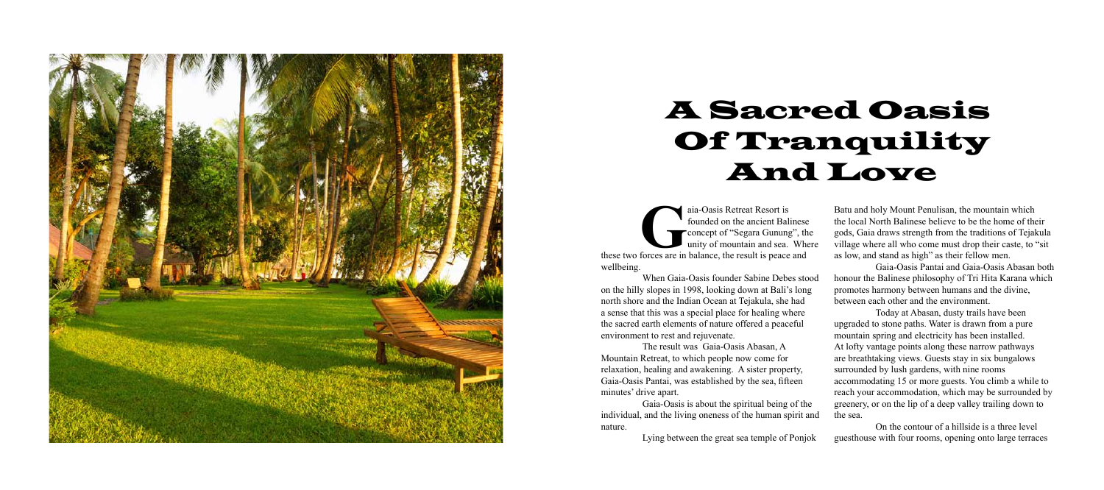

## A Sacred Oasis Of Tranquility And Love

aia-Oasis Retreat Resort is<br>
founded on the ancient Balinese<br>
concept of "Segara Gunung", the<br>
unity of mountain and sea. When<br>
these two forces are in balance, the result is peace and founded on the ancient Balinese **Exercise** Concept of "Segara Gunung", the unity of mountain and sea. Where

wellbeing.

When Gaia-Oasis founder Sabine Debes stood on the hilly slopes in 1998, looking down at Bali's long north shore and the Indian Ocean at Tejakula, she had a sense that this was a special place for healing where the sacred earth elements of nature offered a peaceful environment to rest and rejuvenate.

The result was Gaia-Oasis Abasan, A Mountain Retreat, to which people now come for relaxation, healing and awakening. A sister property, Gaia-Oasis Pantai, was established by the sea, fifteen minutes' drive apart.

Batu and holy Mount Penulisan, the mountain which the local North Balinese believe to be the home of their gods, Gaia draws strength from the traditions of Tejakula village where all who come must drop their caste, to "sit as low, and stand as high" as their fellow men.

Gaia-Oasis Pantai and Gaia-Oasis Abasan both honour the Balinese philosophy of Tri Hita Karana which promotes harmony between humans and the divine, between each other and the environment.

Gaia-Oasis is about the spiritual being of the individual, and the living oneness of the human spirit and nature. Lying between the great sea temple of Ponjok the sea. On the contour of a hillside is a three level guesthouse with four rooms, opening onto large terraces

Today at Abasan, dusty trails have been upgraded to stone paths. Water is drawn from a pure mountain spring and electricity has been installed. At lofty vantage points along these narrow pathways are breathtaking views. Guests stay in six bungalows surrounded by lush gardens, with nine rooms accommodating 15 or more guests. You climb a while to reach your accommodation, which may be surrounded by greenery, or on the lip of a deep valley trailing down to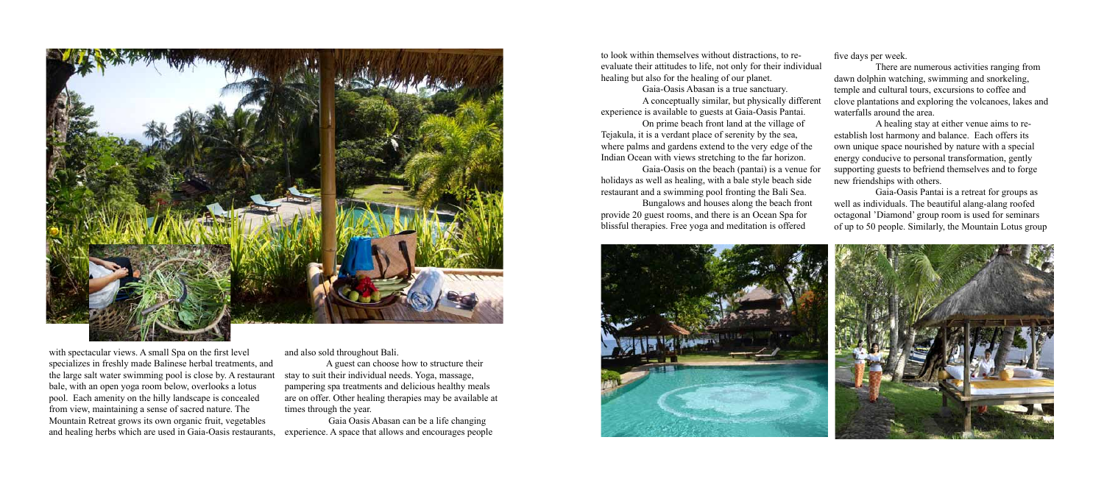

with spectacular views. A small Spa on the first level specializes in freshly made Balinese herbal treatments, and the large salt water swimming pool is close by. A restaurant bale, with an open yoga room below, overlooks a lotus pool. Each amenity on the hilly landscape is concealed from view, maintaining a sense of sacred nature. The Mountain Retreat grows its own organic fruit, vegetables and healing herbs which are used in Gaia-Oasis restaurants,

and also sold throughout Bali.

A guest can choose how to structure their stay to suit their individual needs. Yoga, massage, pampering spa treatments and delicious healthy meals are on offer. Other healing therapies may be available at times through the year.

 Gaia Oasis Abasan can be a life changing experience. A space that allows and encourages people to look within themselves without distractions, to reevaluate their attitudes to life, not only for their individual healing but also for the healing of our planet.

Gaia-Oasis Abasan is a true sanctuary. A conceptually similar, but physically different experience is available to guests at Gaia-Oasis Pantai.

On prime beach front land at the village of Tejakula, it is a verdant place of serenity by the sea, where palms and gardens extend to the very edge of the Indian Ocean with views stretching to the far horizon.

Gaia-Oasis on the beach (pantai) is a venue for holidays as well as healing, with a bale style beach side restaurant and a swimming pool fronting the Bali Sea. Bungalows and houses along the beach front

provide 20 guest rooms, and there is an Ocean Spa for blissful therapies. Free yoga and meditation is offered



five days per week.

There are numerous activities ranging from dawn dolphin watching, swimming and snorkeling, temple and cultural tours, excursions to coffee and clove plantations and exploring the volcanoes, lakes and waterfalls around the area.

A healing stay at either venue aims to reestablish lost harmony and balance. Each offers its own unique space nourished by nature with a special energy conducive to personal transformation, gently supporting guests to befriend themselves and to forge new friendships with others.

Gaia-Oasis Pantai is a retreat for groups as well as individuals. The beautiful alang-alang roofed octagonal 'Diamond' group room is used for seminars of up to 50 people. Similarly, the Mountain Lotus group